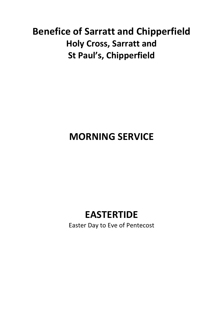# **Benefice of Sarratt and Chipperfield Holy Cross, Sarratt and St Paul's, Chipperfield**

# **MORNING SERVICE**

## **EASTERTIDE**

Easter Day to Eve of Pentecost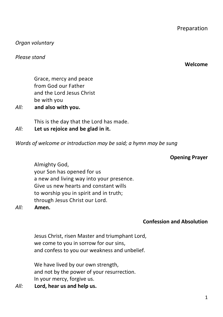1

Preparation

*Organ voluntary*

*Please stand*

Grace, mercy and peace from God our Father and the Lord Jesus Christ be with you

*All:* **and also with you.**

This is the day that the Lord has made.

*All:* **Let us rejoice and be glad in it.**

*Words of welcome or introduction may be said; a hymn may be sung*

#### **Opening Prayer**

Almighty God, your Son has opened for us a new and living way into your presence. Give us new hearts and constant wills to worship you in spirit and in truth; through Jesus Christ our Lord.

*All:* **Amen.**

#### **Confession and Absolution**

Jesus Christ, risen Master and triumphant Lord, we come to you in sorrow for our sins, and confess to you our weakness and unbelief.

We have lived by our own strength, and not by the power of your resurrection. In your mercy, forgive us.

*All:* **Lord, hear us and help us.**

#### **Welcome**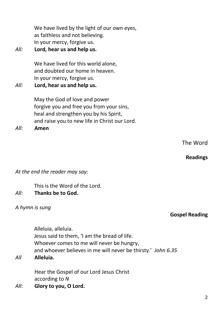We have lived by the light of our own eyes, as faithless and not believing. In your mercy, forgive us.

## *All:* **Lord, hear us and help us.**

We have lived for this world alone. and doubted our home in heaven. In your mercy, forgive us.

### *All:* **Lord, hear us and help us.**

May the God of love and power forgive you and free you from your sins, heal and strengthen you by his Spirit, and raise you to new life in Christ our Lord.

*All:* **Amen**

## **Readings**

#### *At the end the reader may say:*

This is the Word of the Lord.

### *All:* **Thanks be to God.**

#### *A hymn is sung*

Alleluia, alleluia. Jesus said to them, 'I am the bread of life. Whoever comes to me will never be hungry, and whoever believes in me will never be thirsty.' *John 6.35*

#### *All* **Alleluia.**

Hear the Gospel of our Lord Jesus Christ according to *N*

*All:* **Glory to you, O Lord.**

### **Gospel Reading**

## The Word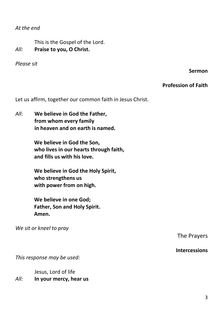*At the end*

This is the Gospel of the Lord. *All:* **Praise to you, O Christ.**

*Please sit*

**Sermon**

#### **Profession of Faith**

Let us affirm, together our common faith in Jesus Christ.

*All:* **We believe in God the Father, from whom every family in heaven and on earth is named.**

> **We believe in God the Son, who lives in our hearts through faith, and fills us with his love.**

**We believe in God the Holy Spirit, who strengthens us with power from on high.**

**We believe in one God; Father, Son and Holy Spirit. Amen.**

*We sit or kneel to pray*

The Prayers

#### **Intercessions**

*This response may be used:*

Jesus, Lord of life *All:* **In your mercy, hear us**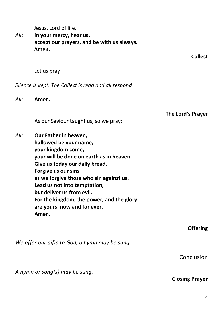Jesus, Lord of life,

*All*: **in your mercy, hear us, accept our prayers, and be with us always. Amen.**

**Collect**

Let us pray

*Silence is kept. The Collect is read and all respond*

*All:* **Amen.** 

**The Lord's Prayer**

As our Saviour taught us, so we pray:

*All:* **Our Father in heaven, hallowed be your name, your kingdom come, your will be done on earth as in heaven. Give us today our daily bread. Forgive us our sins as we forgive those who sin against us. Lead us not into temptation, but deliver us from evil. For the kingdom, the power, and the glory are yours, now and for ever. Amen.**

**Offering**

*We offer our gifts to God, a hymn may be sung*

Conclusion

*A hymn or song(s) may be sung.*

#### **Closing Prayer**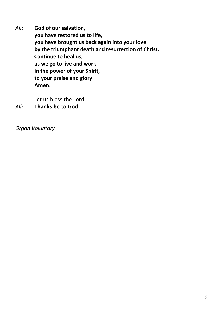*All:* **God of our salvation, you have restored us to life, you have brought us back again into your love by the triumphant death and resurrection of Christ. Continue to heal us, as we go to live and work in the power of your Spirit, to your praise and glory. Amen.**

Let us bless the Lord.

*All:* **Thanks be to God.**

*Organ Voluntary*